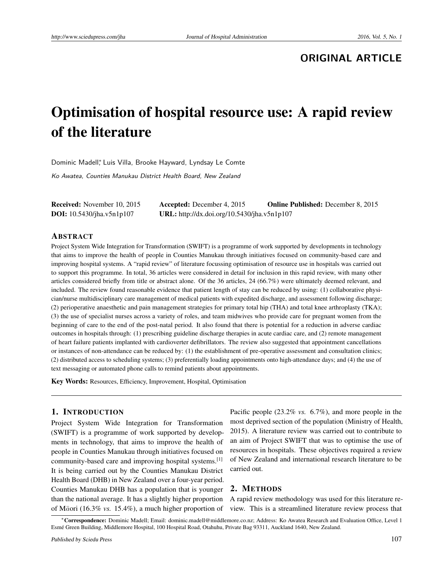## **ORIGINAL ARTICLE**

# Optimisation of hospital resource use: A rapid review of the literature

Dominic Madell\*, Luis Villa, Brooke Hayward, Lyndsay Le Comte

Ko Awatea, Counties Manukau District Health Board, New Zealand

| <b>Received:</b> November 10, 2015 | <b>Accepted:</b> December 4, 2015           | <b>Online Published:</b> December 8, 2015 |
|------------------------------------|---------------------------------------------|-------------------------------------------|
| <b>DOI:</b> 10.5430/jha.v5n1p107   | URL: http://dx.doi.org/10.5430/jha.v5n1p107 |                                           |

#### ABSTRACT

Project System Wide Integration for Transformation (SWIFT) is a programme of work supported by developments in technology that aims to improve the health of people in Counties Manukau through initiatives focused on community-based care and improving hospital systems. A "rapid review" of literature focussing optimisation of resource use in hospitals was carried out to support this programme. In total, 36 articles were considered in detail for inclusion in this rapid review, with many other articles considered briefly from title or abstract alone. Of the 36 articles, 24 (66.7%) were ultimately deemed relevant, and included. The review found reasonable evidence that patient length of stay can be reduced by using: (1) collaborative physician/nurse multidisciplinary care management of medical patients with expedited discharge, and assessment following discharge; (2) perioperative anaesthetic and pain management strategies for primary total hip (THA) and total knee arthroplasty (TKA); (3) the use of specialist nurses across a variety of roles, and team midwives who provide care for pregnant women from the beginning of care to the end of the post-natal period. It also found that there is potential for a reduction in adverse cardiac outcomes in hospitals through: (1) prescribing guideline discharge therapies in acute cardiac care, and (2) remote management of heart failure patients implanted with cardioverter defibrillators. The review also suggested that appointment cancellations or instances of non-attendance can be reduced by: (1) the establishment of pre-operative assessment and consultation clinics; (2) distributed access to scheduling systems; (3) preferentially loading appointments onto high-attendance days; and (4) the use of text messaging or automated phone calls to remind patients about appointments.

Key Words: Resources, Efficiency, Improvement, Hospital, Optimisation

#### 1. INTRODUCTION

Project System Wide Integration for Transformation (SWIFT) is a programme of work supported by developments in technology, that aims to improve the health of people in Counties Manukau through initiatives focused on community-based care and improving hospital systems.[\[1\]](#page-5-0) It is being carried out by the Counties Manukau District Health Board (DHB) in New Zealand over a four-year period. Counties Manukau DHB has a population that is younger than the national average. It has a slightly higher proportion of Māori (16.3% *vs.* 15.4%), a much higher proportion of

Pacific people (23.2% *vs.* 6.7%), and more people in the most deprived section of the population (Ministry of Health, 2015). A literature review was carried out to contribute to an aim of Project SWIFT that was to optimise the use of resources in hospitals. These objectives required a review of New Zealand and international research literature to be carried out.

## 2. METHODS

A rapid review methodology was used for this literature review. This is a streamlined literature review process that

<sup>∗</sup>Correspondence: Dominic Madell; Email: dominic.madell@middlemore.co.nz; Address: Ko Awatea Research and Evaluation Office, Level 1 Esmé Green Building, Middlemore Hospital, 100 Hospital Road, Otahuhu, Private Bag 93311, Auckland 1640, New Zealand.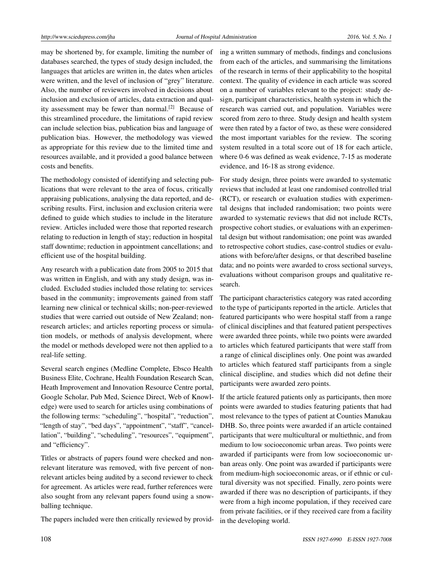may be shortened by, for example, limiting the number of databases searched, the types of study design included, the languages that articles are written in, the dates when articles were written, and the level of inclusion of "grey" literature. Also, the number of reviewers involved in decisions about inclusion and exclusion of articles, data extraction and qual-ity assessment may be fewer than normal.<sup>[\[2\]](#page-5-1)</sup> Because of this streamlined procedure, the limitations of rapid review can include selection bias, publication bias and language of publication bias. However, the methodology was viewed as appropriate for this review due to the limited time and resources available, and it provided a good balance between costs and benefits.

The methodology consisted of identifying and selecting publications that were relevant to the area of focus, critically appraising publications, analysing the data reported, and describing results. First, inclusion and exclusion criteria were defined to guide which studies to include in the literature review. Articles included were those that reported research relating to reduction in length of stay; reduction in hospital staff downtime; reduction in appointment cancellations; and efficient use of the hospital building.

Any research with a publication date from 2005 to 2015 that was written in English, and with any study design, was included. Excluded studies included those relating to: services based in the community; improvements gained from staff learning new clinical or technical skills; non-peer-reviewed studies that were carried out outside of New Zealand; nonresearch articles; and articles reporting process or simulation models, or methods of analysis development, where the model or methods developed were not then applied to a real-life setting.

Several search engines (Medline Complete, Ebsco Health Business Elite, Cochrane, Health Foundation Research Scan, Heath Improvement and Innovation Resource Centre portal, Google Scholar, Pub Med, Science Direct, Web of Knowledge) were used to search for articles using combinations of the following terms: "scheduling", "hospital", "reduction", "length of stay", "bed days", "appointment", "staff", "cancellation", "building", "scheduling", "resources", "equipment", and "efficiency".

Titles or abstracts of papers found were checked and nonrelevant literature was removed, with five percent of nonrelevant articles being audited by a second reviewer to check for agreement. As articles were read, further references were also sought from any relevant papers found using a snowballing technique.

The papers included were then critically reviewed by provid-

ing a written summary of methods, findings and conclusions from each of the articles, and summarising the limitations of the research in terms of their applicability to the hospital context. The quality of evidence in each article was scored on a number of variables relevant to the project: study design, participant characteristics, health system in which the research was carried out, and population. Variables were scored from zero to three. Study design and health system were then rated by a factor of two, as these were considered the most important variables for the review. The scoring system resulted in a total score out of 18 for each article, where 0-6 was defined as weak evidence, 7-15 as moderate evidence, and 16-18 as strong evidence.

For study design, three points were awarded to systematic reviews that included at least one randomised controlled trial (RCT), or research or evaluation studies with experimental designs that included randomisation; two points were awarded to systematic reviews that did not include RCTs, prospective cohort studies, or evaluations with an experimental design but without randomisation; one point was awarded to retrospective cohort studies, case-control studies or evaluations with before/after designs, or that described baseline data; and no points were awarded to cross sectional surveys, evaluations without comparison groups and qualitative research.

The participant characteristics category was rated according to the type of participants reported in the article. Articles that featured participants who were hospital staff from a range of clinical disciplines and that featured patient perspectives were awarded three points, while two points were awarded to articles which featured participants that were staff from a range of clinical disciplines only. One point was awarded to articles which featured staff participants from a single clinical discipline, and studies which did not define their participants were awarded zero points.

If the article featured patients only as participants, then more points were awarded to studies featuring patients that had most relevance to the types of patient at Counties Manukau DHB. So, three points were awarded if an article contained participants that were multicultural or multiethnic, and from medium to low socioeconomic urban areas. Two points were awarded if participants were from low socioeconomic urban areas only. One point was awarded if participants were from medium-high socioeconomic areas, or if ethnic or cultural diversity was not specified. Finally, zero points were awarded if there was no description of participants, if they were from a high income population, if they received care from private facilities, or if they received care from a facility in the developing world.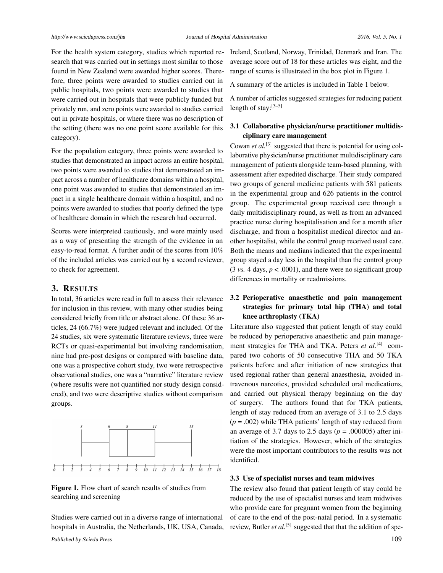For the health system category, studies which reported research that was carried out in settings most similar to those found in New Zealand were awarded higher scores. Therefore, three points were awarded to studies carried out in public hospitals, two points were awarded to studies that were carried out in hospitals that were publicly funded but privately run, and zero points were awarded to studies carried out in private hospitals, or where there was no description of the setting (there was no one point score available for this category).

For the population category, three points were awarded to studies that demonstrated an impact across an entire hospital, two points were awarded to studies that demonstrated an impact across a number of healthcare domains within a hospital, one point was awarded to studies that demonstrated an impact in a single healthcare domain within a hospital, and no points were awarded to studies that poorly defined the type of healthcare domain in which the research had occurred.

Scores were interpreted cautiously, and were mainly used as a way of presenting the strength of the evidence in an easy-to-read format. A further audit of the scores from 10% of the included articles was carried out by a second reviewer, to check for agreement.

## 3. RESULTS

In total, 36 articles were read in full to assess their relevance for inclusion in this review, with many other studies being considered briefly from title or abstract alone. Of these 36 articles, 24 (66.7%) were judged relevant and included. Of the 24 studies, six were systematic literature reviews, three were RCTs or quasi-experimental but involving randomisation, nine had pre-post designs or compared with baseline data, one was a prospective cohort study, two were retrospective observational studies, one was a "narrative" literature review (where results were not quantified nor study design considered), and two were descriptive studies without comparison groups.



<span id="page-2-0"></span>Figure 1. Flow chart of search results of studies from searching and screening

Studies were carried out in a diverse range of international hospitals in Australia, the Netherlands, UK, USA, Canada, Ireland, Scotland, Norway, Trinidad, Denmark and Iran. The average score out of 18 for these articles was eight, and the range of scores is illustrated in the box plot in Figure [1.](#page-2-0)

A summary of the articles is included in Table [1](#page-3-0) below.

A number of articles suggested strategies for reducing patient length of stay:[\[3–](#page-5-2)[5\]](#page-5-3)

## 3.1 Collaborative physician/nurse practitioner multidisciplinary care management

Cowan *et al.*<sup>[\[3\]](#page-5-2)</sup> suggested that there is potential for using collaborative physician/nurse practitioner multidisciplinary care management of patients alongside team-based planning, with assessment after expedited discharge. Their study compared two groups of general medicine patients with 581 patients in the experimental group and 626 patients in the control group. The experimental group received care through a daily multidisciplinary round, as well as from an advanced practice nurse during hospitalisation and for a month after discharge, and from a hospitalist medical director and another hospitalist, while the control group received usual care. Both the means and medians indicated that the experimental group stayed a day less in the hospital than the control group  $(3 \text{ vs. } 4 \text{ days}, p < .0001)$ , and there were no significant group differences in mortality or readmissions.

## 3.2 Perioperative anaesthetic and pain management strategies for primary total hip (THA) and total knee arthroplasty (TKA)

Literature also suggested that patient length of stay could be reduced by perioperative anaesthetic and pain manage-ment strategies for THA and TKA. Peters et al.<sup>[\[4\]](#page-5-4)</sup> compared two cohorts of 50 consecutive THA and 50 TKA patients before and after initiation of new strategies that used regional rather than general anaesthesia, avoided intravenous narcotics, provided scheduled oral medications, and carried out physical therapy beginning on the day of surgery. The authors found that for TKA patients, length of stay reduced from an average of 3.1 to 2.5 days  $(p = .002)$  while THA patients' length of stay reduced from an average of 3.7 days to 2.5 days ( $p = .000005$ ) after initiation of the strategies. However, which of the strategies were the most important contributors to the results was not identified.

#### 3.3 Use of specialist nurses and team midwives

The review also found that patient length of stay could be reduced by the use of specialist nurses and team midwives who provide care for pregnant women from the beginning of care to the end of the post-natal period. In a systematic review, Butler et al.<sup>[\[5\]](#page-5-3)</sup> suggested that that the addition of spe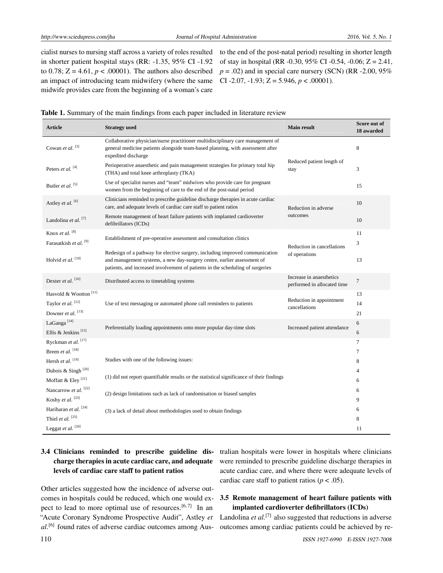cialist nurses to nursing staff across a variety of roles resulted in shorter patient hospital stays (RR: -1.35, 95% CI -1.92 to 0.78;  $Z = 4.61$ ,  $p < .00001$ ). The authors also described an impact of introducing team midwifery (where the same midwife provides care from the beginning of a woman's care

to the end of the post-natal period) resulting in shorter length of stay in hospital (RR -0.30, 95% CI -0.54, -0.06; Z = 2.41,  $p = .02$ ) and in special care nursery (SCN) (RR -2.00, 95%) CI -2.07, -1.93; Z = 5.946, *p* < .00001).

<span id="page-3-0"></span>

| <b>Article</b>                                                  | <b>Strategy used</b>                                                                                                                                                                                                                      | <b>Main result</b>                                      | Score out of<br>18 awarded |
|-----------------------------------------------------------------|-------------------------------------------------------------------------------------------------------------------------------------------------------------------------------------------------------------------------------------------|---------------------------------------------------------|----------------------------|
| Cowan et al. <sup>[3]</sup>                                     | Collaborative physician/nurse practitioner multidisciplinary care management of<br>general medicine patients alongside team-based planning, with assessment after<br>expedited discharge                                                  |                                                         | 8                          |
| Peters et al. <sup>[4]</sup>                                    | Perioperative anaesthetic and pain management strategies for primary total hip<br>(THA) and total knee arthroplasty (TKA)                                                                                                                 | Reduced patient length of<br>stay                       | 3                          |
| Butler et al. <sup>[5]</sup>                                    | Use of specialist nurses and "team" midwives who provide care for pregnant<br>women from the beginning of care to the end of the post-natal period                                                                                        |                                                         | 15                         |
| Astley et al. [6]                                               | Clinicians reminded to prescribe guideline discharge therapies in acute cardiac<br>care, and adequate levels of cardiac care staff to patient ratios                                                                                      | Reduction in adverse                                    | 10                         |
| Landolina et al. $[7]$                                          | Remote management of heart failure patients with implanted cardioverter<br>defibrillators (ICDs)                                                                                                                                          | outcomes                                                | 10                         |
| Knox et al. <sup>[8]</sup><br>Farasatkish et al. <sup>[9]</sup> | Establishment of pre-operative assessment and consultation clinics                                                                                                                                                                        | Reduction in cancellations<br>of operations             | 11<br>3                    |
| Holvid et al. <sup>[10]</sup>                                   | Redesign of a pathway for elective surgery, including improved communication<br>and management systems, a new day-surgery centre, earlier assessment of<br>patients, and increased involvement of patients in the scheduling of surgeries |                                                         | 13                         |
| Dexter et al. [16]                                              | Distributed access to timetabling systems                                                                                                                                                                                                 | Increase in anaesthetics<br>performed in allocated time | $\tau$                     |
| Hasvold & Wootton <sup>[11]</sup>                               |                                                                                                                                                                                                                                           | Reduction in appointment<br>cancellations               | 13                         |
| Taylor et al. <sup>[12]</sup>                                   | Use of text messaging or automated phone call reminders to patients                                                                                                                                                                       |                                                         | 14                         |
| Downer et al. <sup>[13]</sup>                                   |                                                                                                                                                                                                                                           |                                                         | 21                         |
| LaGanga <sup>[14]</sup>                                         | Preferentially loading appointments onto more popular day-time slots                                                                                                                                                                      | Increased patient attendance                            | 6                          |
| Ellis & Jenkins <sup>[15]</sup>                                 |                                                                                                                                                                                                                                           |                                                         | 6                          |
| Ryckman et al. [17]                                             |                                                                                                                                                                                                                                           |                                                         | $\tau$                     |
| Breen et al. [18]                                               | Studies with one of the following issues:                                                                                                                                                                                                 |                                                         | 7                          |
| Hersh et al. <sup>[19]</sup>                                    |                                                                                                                                                                                                                                           |                                                         | 8                          |
| Dubois & Singh <sup>[20]</sup>                                  | (1) did not report quantifiable results or the statistical significance of their findings                                                                                                                                                 |                                                         | $\overline{4}$             |
| Moffatt & Eley <sup>[21]</sup>                                  |                                                                                                                                                                                                                                           |                                                         | 6                          |
| Nancarrow et al. <sup>[22]</sup>                                | (2) design limitations such as lack of randomisation or biased samples                                                                                                                                                                    |                                                         | 6                          |
| Koshy et al. <sup>[23]</sup>                                    |                                                                                                                                                                                                                                           |                                                         | 9                          |
| Hariharan et al. <sup>[24]</sup>                                | (3) a lack of detail about methodologies used to obtain findings                                                                                                                                                                          |                                                         | 6                          |
| Thiel et al. $^{[25]}$                                          |                                                                                                                                                                                                                                           |                                                         | 8                          |
| Leggat et al. [26]                                              |                                                                                                                                                                                                                                           |                                                         | 11                         |

## 3.4 Clinicians reminded to prescribe guideline discharge therapies in acute cardiac care, and adequate levels of cardiac care staff to patient ratios

Other articles suggested how the incidence of adverse outcomes in hospitals could be reduced, which one would ex-pect to lead to more optimal use of resources.<sup>[\[6,](#page-5-5)[7\]](#page-5-6)</sup> In an "Acute Coronary Syndrome Prospective Audit", Astley *et al.*[\[6\]](#page-5-5) found rates of adverse cardiac outcomes among Australian hospitals were lower in hospitals where clinicians were reminded to prescribe guideline discharge therapies in acute cardiac care, and where there were adequate levels of cardiac care staff to patient ratios ( $p < .05$ ).

## 3.5 Remote management of heart failure patients with implanted cardioverter defibrillators (ICDs)

Landolina *et al.*<sup>[\[7\]](#page-5-6)</sup> also suggested that reductions in adverse outcomes among cardiac patients could be achieved by re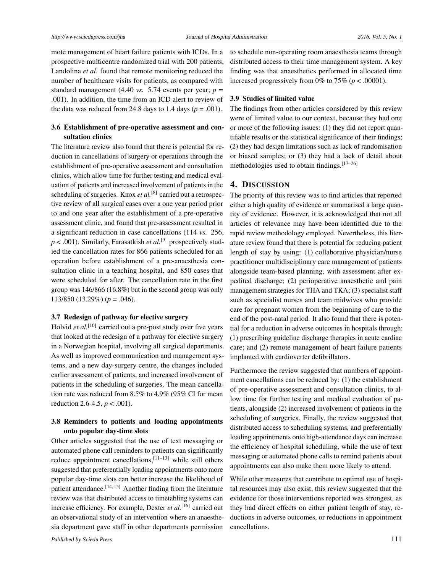mote management of heart failure patients with ICDs. In a prospective multicentre randomized trial with 200 patients, Landolina *et al.* found that remote monitoring reduced the number of healthcare visits for patients, as compared with standard management (4.40 *vs.* 5.74 events per year;  $p =$ .001). In addition, the time from an ICD alert to review of the data was reduced from 24.8 days to 1.4 days ( $p = .001$ ).

#### 3.6 Establishment of pre-operative assessment and consultation clinics

The literature review also found that there is potential for reduction in cancellations of surgery or operations through the establishment of pre-operative assessment and consultation clinics, which allow time for further testing and medical evaluation of patients and increased involvement of patients in the scheduling of surgeries. Knox *et al*.<sup>[\[8\]](#page-5-7)</sup> carried out a retrospective review of all surgical cases over a one year period prior to and one year after the establishment of a pre-operative assessment clinic, and found that pre-assessment resulted in a significant reduction in case cancellations (114 *vs.* 256,  $p < .001$ ). Similarly, Farasatkish *et al.*<sup>[\[9\]](#page-5-8)</sup> prospectively studied the cancellation rates for 866 patients scheduled for an operation before establishment of a pre-anaesthesia consultation clinic in a teaching hospital, and 850 cases that were scheduled for after. The cancellation rate in the first group was 146/866 (16.8%) but in the second group was only 113/850 (13.29%) (*p* = .046).

#### 3.7 Redesign of pathway for elective surgery

Holvid *et al.*<sup>[\[10\]](#page-5-9)</sup> carried out a pre-post study over five years that looked at the redesign of a pathway for elective surgery in a Norwegian hospital, involving all surgical departments. As well as improved communication and management systems, and a new day-surgery centre, the changes included earlier assessment of patients, and increased involvement of patients in the scheduling of surgeries. The mean cancellation rate was reduced from 8.5% to 4.9% (95% CI for mean reduction 2.6-4.5, *p* < .001).

## 3.8 Reminders to patients and loading appointments onto popular day-time slots

Other articles suggested that the use of text messaging or automated phone call reminders to patients can significantly reduce appointment cancellations, $[11-13]$  $[11-13]$  while still others suggested that preferentially loading appointments onto more popular day-time slots can better increase the likelihood of patient attendance.<sup>[\[14,](#page-5-12) [15\]](#page-5-13)</sup> Another finding from the literature review was that distributed access to timetabling systems can increase efficiency. For example, Dexter *et al*.<sup>[\[16\]](#page-5-14)</sup> carried out an observational study of an intervention where an anaesthesia department gave staff in other departments permission

to schedule non-operating room anaesthesia teams through distributed access to their time management system. A key finding was that anaesthetics performed in allocated time increased progressively from 0% to  $75\%$  ( $p < .00001$ ).

#### 3.9 Studies of limited value

The findings from other articles considered by this review were of limited value to our context, because they had one or more of the following issues: (1) they did not report quantifiable results or the statistical significance of their findings; (2) they had design limitations such as lack of randomisation or biased samples; or (3) they had a lack of detail about methodologies used to obtain findings.[\[17–](#page-5-15)[26\]](#page-6-0)

#### 4. DISCUSSION

The priority of this review was to find articles that reported either a high quality of evidence or summarised a large quantity of evidence. However, it is acknowledged that not all articles of relevance may have been identified due to the rapid review methodology employed. Nevertheless, this literature review found that there is potential for reducing patient length of stay by using: (1) collaborative physician/nurse practitioner multidisciplinary care management of patients alongside team-based planning, with assessment after expedited discharge; (2) perioperative anaesthetic and pain management strategies for THA and TKA; (3) specialist staff such as specialist nurses and team midwives who provide care for pregnant women from the beginning of care to the end of the post-natal period. It also found that there is potential for a reduction in adverse outcomes in hospitals through: (1) prescribing guideline discharge therapies in acute cardiac care; and (2) remote management of heart failure patients implanted with cardioverter defibrillators.

Furthermore the review suggested that numbers of appointment cancellations can be reduced by: (1) the establishment of pre-operative assessment and consultation clinics, to allow time for further testing and medical evaluation of patients, alongside (2) increased involvement of patients in the scheduling of surgeries. Finally, the review suggested that distributed access to scheduling systems, and preferentially loading appointments onto high-attendance days can increase the efficiency of hospital scheduling, while the use of text messaging or automated phone calls to remind patients about appointments can also make them more likely to attend.

While other measures that contribute to optimal use of hospital resources may also exist, this review suggested that the evidence for those interventions reported was strongest, as they had direct effects on either patient length of stay, reductions in adverse outcomes, or reductions in appointment cancellations.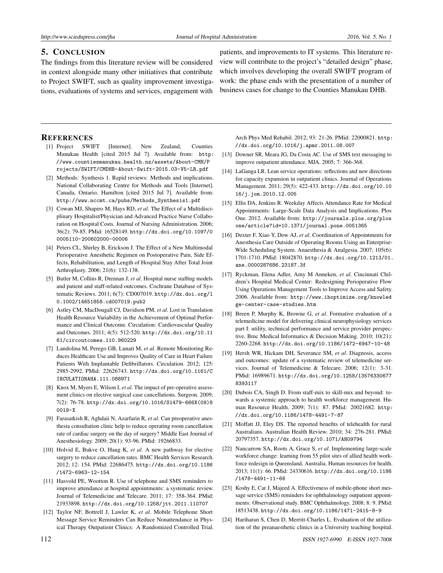## 5. CONCLUSION

The findings from this literature review will be considered in context alongside many other initiatives that contribute to Project SWIFT, such as quality improvement investigations, evaluations of systems and services, engagement with

patients, and improvements to IT systems. This literature review will contribute to the project's "detailed design" phase, which involves developing the overall SWIFT program of work: the phase ends with the presentation of a number of business cases for change to the Counties Manukau DHB.

#### **REFERENCES**

- <span id="page-5-0"></span>[1] Project SWIFT [Internet]. New Zealand, Counties Manukau Health [cited 2015 Jul 7]. Available from: [http:](http://www.countiesmanukau.health.nz/assets/About-CMH/Projects/SWIFT/CMDHB-About-Swift-2015.03-V5-LR.pdf) [//www.countiesmanukau.health.nz/assets/About-CMH/P](http://www.countiesmanukau.health.nz/assets/About-CMH/Projects/SWIFT/CMDHB-About-Swift-2015.03-V5-LR.pdf) [rojects/SWIFT/CMDHB-About-Swift-2015.03-V5-LR.pdf](http://www.countiesmanukau.health.nz/assets/About-CMH/Projects/SWIFT/CMDHB-About-Swift-2015.03-V5-LR.pdf)
- <span id="page-5-1"></span>[2] Methods: Synthesis 1. Rapid reviews: Methods and implications. National Collaborating Centre for Methods and Tools [Internet]. Canada, Ontario, Hamilton [cited 2015 Jul 7]. Available from: [http://www.nccmt.ca/pubs/Methods\\_Synthesis1.pdf](http://www.nccmt.ca/pubs/Methods_Synthesis1.pdf)
- <span id="page-5-2"></span>[3] Cowan MJ, Shapiro M, Hays RD, *et al*. The Effect of a Multidisciplinary Hospitalist/Physician and Advanced Practice Nurse Collaboration on Hospital Costs. Journal of Nursing Administration. 2006; 36(2): 79-85. PMid: 16528149. [http://dx.doi.org/10.1097/0](http://dx.doi.org/10.1097/00005110-200602000-00006) [0005110-200602000-00006](http://dx.doi.org/10.1097/00005110-200602000-00006)
- <span id="page-5-4"></span>[4] Peters CL, Shirley B, Erickson J. The Effect of a New Multimodal Perioperative Anesthetic Regimen on Postoperative Pain, Side Effects, Rehabilitation, and Length of Hospital Stay After Total Joint Arthroplasty. 2006; 21(6): 132-138.
- <span id="page-5-3"></span>[5] Butler M, Collins R, Drennan J, *et al*. Hospital nurse staffing models and patient and staff-related outcomes. Cochrane Database of Systematic Reviews. 2011; 6(7): CD007019. [http://dx.doi.org/1](http://dx.doi.org/10.1002/14651858.cd007019.pub2) [0.1002/14651858.cd007019.pub2](http://dx.doi.org/10.1002/14651858.cd007019.pub2)
- <span id="page-5-5"></span>[6] Astley CM, MacDougall CJ, Davidson PM, *et al*. Lost in Translation Health Resource Variability in the Achievement of Optimal Performance and Clinical Outcome. Circulation: Cardiovascular Quality and Outcomes. 2011; 4(5): 512-520. [http://dx.doi.org/10.11](http://dx.doi.org/10.1161/circoutcomes.110.960229) [61/circoutcomes.110.960229](http://dx.doi.org/10.1161/circoutcomes.110.960229)
- <span id="page-5-6"></span>[7] Landolina M, Perego GB, Lunati M, *et al*. Remote Monitoring Reduces Healthcare Use and Improves Quality of Care in Heart Failure Patients With Implantable Defibrillators. Circulation. 2012; 125: 2985-2992. PMid: 22626743. [http://dx.doi.org/10.1161/C](http://dx.doi.org/10.1161/CIRCULATIONAHA.111.088971) [IRCULATIONAHA.111.088971](http://dx.doi.org/10.1161/CIRCULATIONAHA.111.088971)
- <span id="page-5-7"></span>[8] Knox M, Myers E, Wilson I, *et al*. The impact of pre-operative assessment clinics on elective surgical case cancellations. Surgeon. 2009; 7(2): 76-78. [http://dx.doi.org/10.1016/S1479-666X\(09\)8](http://dx.doi.org/10.1016/S1479-666X(09)80019-X) [0019-X](http://dx.doi.org/10.1016/S1479-666X(09)80019-X)
- <span id="page-5-8"></span>[9] Farasatkish R, Aghdaii N, Azarfarin R, *et al*. Can preoperative anesthesia consultation clinic help to reduce operating room cancellation rate of cardiac surgery on the day of surgery? Middle East Journal of Anesthesiology. 2009; 20(1): 93-96. PMid: 19266833.
- <span id="page-5-9"></span>[10] Holvid E, Bukve O, Haug K, *et al*. A new pathway for elective surgery to reduce cancellation rates. BMC Health Services Research. 2012; 12: 154. PMid: 22686475. [http://dx.doi.org/10.1186](http://dx.doi.org/10.1186/1472-6963-12-154) [/1472-6963-12-154](http://dx.doi.org/10.1186/1472-6963-12-154)
- <span id="page-5-10"></span>[11] Hasvold PE, Wootton R. Use of telephone and SMS reminders to improve attendance at hospital appointments: a systematic review. Journal of Telemedicine and Telecare. 2011; 17: 358-364. PMid: 21933898. <http://dx.doi.org/10.1258/jtt.2011.110707>
- [12] Taylor NF, Bottrell J, Lawler K, *et al*. Mobile Telephone Short Message Service Reminders Can Reduce Nonattendance in Physical Therapy Outpatient Clinics: A Randomized Controlled Trial.

Arch Phys Med Rehabil. 2012; 93: 21-26. PMid: 22000821. [http:](http://dx.doi.org/10.1016/j.apmr.2011.08.007) [//dx.doi.org/10.1016/j.apmr.2011.08.007](http://dx.doi.org/10.1016/j.apmr.2011.08.007)

- <span id="page-5-11"></span>[13] Downer SR, Meara JG, Da Costa AC. Use of SMS text messaging to improve outpatient attendance. MJA. 2005; 7: 366-368.
- <span id="page-5-12"></span>[14] LaGanga LR. Lean service operations: reflections and new directions for capacity expansion in outpatient clinics. Journal of Operations Management. 2011; 29(5): 422-433. [http://dx.doi.org/10.10](http://dx.doi.org/10.1016/j.jom.2010.12.005) [16/j.jom.2010.12.005](http://dx.doi.org/10.1016/j.jom.2010.12.005)
- <span id="page-5-13"></span>[15] Ellis DA, Jenkins R. Weekday Affects Attendance Rate for Medical Appointments: Large-Scale Data Analysis and Implications. Plos One. 2012. Available from: [http://journals.plos.org/plos](http://journals.plos.org/plosone/article?id=10.1371/journal.pone.0051365 ) [one/article?id=10.1371/journal.pone.0051365](http://journals.plos.org/plosone/article?id=10.1371/journal.pone.0051365 )
- <span id="page-5-14"></span>[16] Dexter F, Xiao Y, Dow AJ, *et al*. Coordination of Appointments for Anesthesia Care Outside of Operating Rooms Using an Enterprise-Wide Scheduling System. Anaesthesia & Analgesia. 2007; 105(6): 1701-1710. PMid: 18042870. [http://dx.doi.org/10.1213/01.](http://dx.doi.org/10.1213/01.ane.0000287686.23187.3f) [ane.0000287686.23187.3f](http://dx.doi.org/10.1213/01.ane.0000287686.23187.3f)
- <span id="page-5-15"></span>[17] Ryckman, Elena Adler, Amy M Anneken, *et al*. Cincinnati Children's Hospital Medical Center: Redesigning Perioperative Flow Using Operations Management Tools to Improve Access and Safety. 2006. Available from: [http://www.ihoptimize.org/knowled](http://www.ihoptimize.org/knowledge-center-case-studies.htm) [ge-center-case-studies.htm](http://www.ihoptimize.org/knowledge-center-case-studies.htm)
- [18] Breen P, Murphy K, Browne G, *et al*. Formative evaluation of a telemedicine model for delivering clinical neurophysiology services part I: utility, technical performance and service provider perspective. Bmc Medical Informatics & Decision Making. 2010; 10(21): 2260-2268. <http://dx.doi.org/10.1186/1472-6947-10-48>
- [19] Hersh WR, Hickam DH, Severance SM, *et al*. Diagnosis, access and outcomes: update of a systematic review of telemedicine services. Journal of Telemedicine & Telecare. 2006; 12(1): 3-31. PMid: 16989671. [http://dx.doi.org/10.1258/13576330677](http://dx.doi.org/10.1258/135763306778393117) [8393117](http://dx.doi.org/10.1258/135763306778393117)
- [20] Dubois CA, Singh D. From staff-mix to skill-mix and beyond: towards a systemic approach to health workforce management. Human Resource Health. 2009; 7(1): 87. PMid: 20021682. [http:](http://dx.doi.org/10.1186/1478-4491-7-87) [//dx.doi.org/10.1186/1478-4491-7-87](http://dx.doi.org/10.1186/1478-4491-7-87)
- [21] Moffatt JJ, Eley DS. The reported benefits of telehealth for rural Australians. Australian Health Review. 2010; 34: 276-281. PMid: 20797357. <http://dx.doi.org/10.1071/AH09794>
- [22] Nancarrow SA, Roots A, Grace S, *et al*. Implementing large-scale workforce change: learning from 55 pilot sites of allied health workforce redesign in Queensland, Australia. Human resources for health. 2013; 11(1): 66. PMid: 24330616. [http://dx.doi.org/10.1186](http://dx.doi.org/10.1186/1478-4491-11-66) [/1478-4491-11-66](http://dx.doi.org/10.1186/1478-4491-11-66)
- [23] Koshy E, Car J, Majeed A. Effectiveness of mobile-phone short message service (SMS) reminders for ophthalmology outpatient appointments: Observational study. BMC Ophthalmology. 2008; 8: 9. PMid: 18513438. <http://dx.doi.org/10.1186/1471-2415-8-9>
- [24] Hariharan S, Chen D, Merritt-Charles L. Evaluation of the utilization of the preanaesthetic clinics in a University teaching hospital.